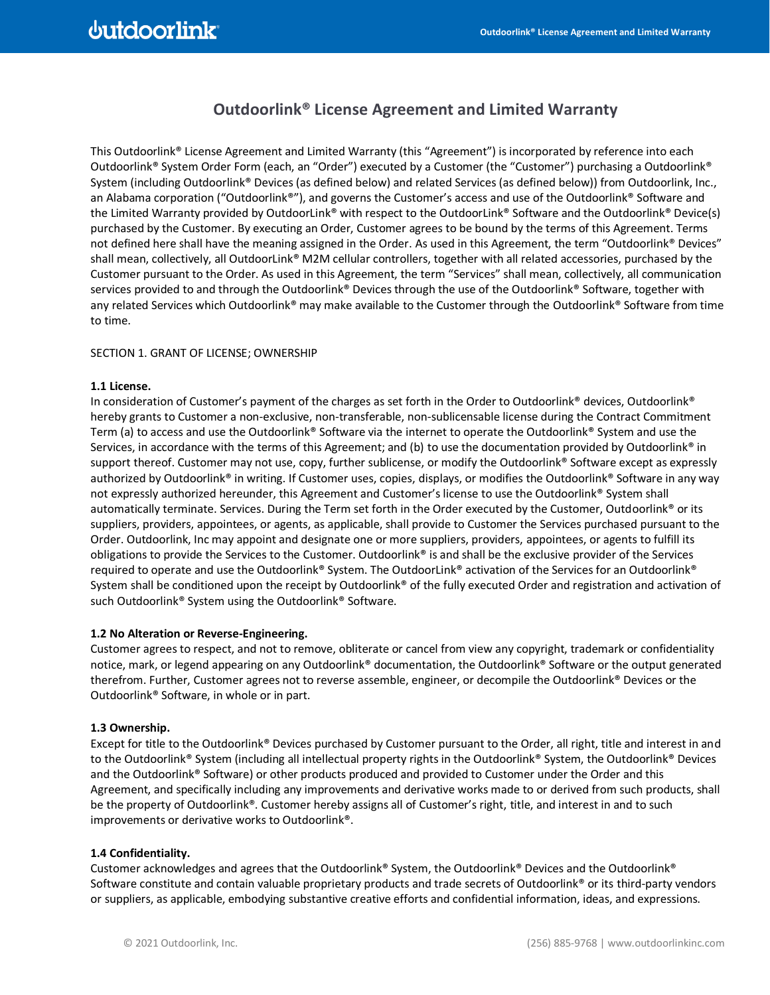## **Outdoorlink® License Agreement and Limited Warranty**

This Outdoorlink® License Agreement and Limited Warranty (this "Agreement") is incorporated by reference into each Outdoorlink® System Order Form (each, an "Order") executed by a Customer (the "Customer") purchasing a Outdoorlink® System (including Outdoorlink® Devices (as defined below) and related Services (as defined below)) from Outdoorlink, Inc., an Alabama corporation ("Outdoorlink®"), and governs the Customer's access and use of the Outdoorlink® Software and the Limited Warranty provided by OutdoorLink® with respect to the OutdoorLink® Software and the Outdoorlink® Device(s) purchased by the Customer. By executing an Order, Customer agrees to be bound by the terms of this Agreement. Terms not defined here shall have the meaning assigned in the Order. As used in this Agreement, the term "Outdoorlink® Devices" shall mean, collectively, all OutdoorLink® M2M cellular controllers, together with all related accessories, purchased by the Customer pursuant to the Order. As used in this Agreement, the term "Services" shall mean, collectively, all communication services provided to and through the Outdoorlink® Devices through the use of the Outdoorlink® Software, together with any related Services which Outdoorlink® may make available to the Customer through the Outdoorlink® Software from time to time.

### SECTION 1. GRANT OF LICENSE; OWNERSHIP

## **1.1 License.**

In consideration of Customer's payment of the charges as set forth in the Order to Outdoorlink® devices, Outdoorlink® hereby grants to Customer a non-exclusive, non-transferable, non-sublicensable license during the Contract Commitment Term (a) to access and use the Outdoorlink® Software via the internet to operate the Outdoorlink® System and use the Services, in accordance with the terms of this Agreement; and (b) to use the documentation provided by Outdoorlink® in support thereof. Customer may not use, copy, further sublicense, or modify the Outdoorlink® Software except as expressly authorized by Outdoorlink® in writing. If Customer uses, copies, displays, or modifies the Outdoorlink® Software in any way not expressly authorized hereunder, this Agreement and Customer's license to use the Outdoorlink® System shall automatically terminate. Services. During the Term set forth in the Order executed by the Customer, Outdoorlink® or its suppliers, providers, appointees, or agents, as applicable, shall provide to Customer the Services purchased pursuant to the Order. Outdoorlink, Inc may appoint and designate one or more suppliers, providers, appointees, or agents to fulfill its obligations to provide the Services to the Customer. Outdoorlink® is and shall be the exclusive provider of the Services required to operate and use the Outdoorlink® System. The OutdoorLink® activation of the Services for an Outdoorlink® System shall be conditioned upon the receipt by Outdoorlink® of the fully executed Order and registration and activation of such Outdoorlink® System using the Outdoorlink® Software.

## **1.2 No Alteration or Reverse-Engineering.**

Customer agrees to respect, and not to remove, obliterate or cancel from view any copyright, trademark or confidentiality notice, mark, or legend appearing on any Outdoorlink® documentation, the Outdoorlink® Software or the output generated therefrom. Further, Customer agrees not to reverse assemble, engineer, or decompile the Outdoorlink® Devices or the Outdoorlink® Software, in whole or in part.

## **1.3 Ownership.**

Except for title to the Outdoorlink® Devices purchased by Customer pursuant to the Order, all right, title and interest in and to the Outdoorlink® System (including all intellectual property rights in the Outdoorlink® System, the Outdoorlink® Devices and the Outdoorlink® Software) or other products produced and provided to Customer under the Order and this Agreement, and specifically including any improvements and derivative works made to or derived from such products, shall be the property of Outdoorlink®. Customer hereby assigns all of Customer's right, title, and interest in and to such improvements or derivative works to Outdoorlink®.

## **1.4 Confidentiality.**

Customer acknowledges and agrees that the Outdoorlink® System, the Outdoorlink® Devices and the Outdoorlink® Software constitute and contain valuable proprietary products and trade secrets of Outdoorlink® or its third-party vendors or suppliers, as applicable, embodying substantive creative efforts and confidential information, ideas, and expressions.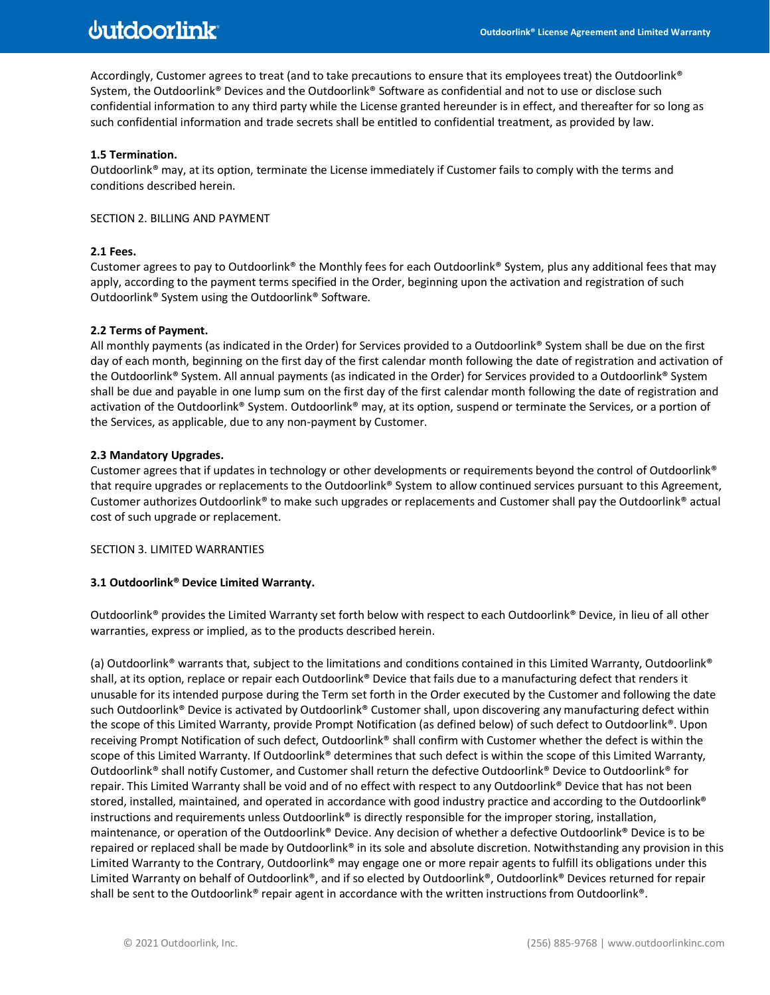# **dutdoorlink**

Accordingly, Customer agrees to treat (and to take precautions to ensure that its employees treat) the Outdoorlink® System, the Outdoorlink® Devices and the Outdoorlink® Software as confidential and not to use or disclose such confidential information to any third party while the License granted hereunder is in effect, and thereafter for so long as such confidential information and trade secrets shall be entitled to confidential treatment, as provided by law.

## **1.5 Termination.**

Outdoorlink® may, at its option, terminate the License immediately if Customer fails to comply with the terms and conditions described herein.

## SECTION 2. BILLING AND PAYMENT

## **2.1 Fees.**

Customer agrees to pay to Outdoorlink® the Monthly fees for each Outdoorlink® System, plus any additional fees that may apply, according to the payment terms specified in the Order, beginning upon the activation and registration of such Outdoorlink® System using the Outdoorlink® Software.

## **2.2 Terms of Payment.**

All monthly payments (as indicated in the Order) for Services provided to a Outdoorlink® System shall be due on the first day of each month, beginning on the first day of the first calendar month following the date of registration and activation of the Outdoorlink® System. All annual payments (as indicated in the Order) for Services provided to a Outdoorlink® System shall be due and payable in one lump sum on the first day of the first calendar month following the date of registration and activation of the Outdoorlink® System. Outdoorlink® may, at its option, suspend or terminate the Services, or a portion of the Services, as applicable, due to any non-payment by Customer.

## **2.3 Mandatory Upgrades.**

Customer agrees that if updates in technology or other developments or requirements beyond the control of Outdoorlink® that require upgrades or replacements to the Outdoorlink® System to allow continued services pursuant to this Agreement, Customer authorizes Outdoorlink® to make such upgrades or replacements and Customer shall pay the Outdoorlink® actual cost of such upgrade or replacement.

## SECTION 3. LIMITED WARRANTIES

## **3.1 Outdoorlink® Device Limited Warranty.**

Outdoorlink® provides the Limited Warranty set forth below with respect to each Outdoorlink® Device, in lieu of all other warranties, express or implied, as to the products described herein.

(a) Outdoorlink® warrants that, subject to the limitations and conditions contained in this Limited Warranty, Outdoorlink® shall, at its option, replace or repair each Outdoorlink® Device that fails due to a manufacturing defect that renders it unusable for its intended purpose during the Term set forth in the Order executed by the Customer and following the date such Outdoorlink® Device is activated by Outdoorlink® Customer shall, upon discovering any manufacturing defect within the scope of this Limited Warranty, provide Prompt Notification (as defined below) of such defect to Outdoorlink®. Upon receiving Prompt Notification of such defect, Outdoorlink® shall confirm with Customer whether the defect is within the scope of this Limited Warranty. If Outdoorlink® determines that such defect is within the scope of this Limited Warranty, Outdoorlink® shall notify Customer, and Customer shall return the defective Outdoorlink® Device to Outdoorlink® for repair. This Limited Warranty shall be void and of no effect with respect to any Outdoorlink® Device that has not been stored, installed, maintained, and operated in accordance with good industry practice and according to the Outdoorlink® instructions and requirements unless Outdoorlink® is directly responsible for the improper storing, installation, maintenance, or operation of the Outdoorlink® Device. Any decision of whether a defective Outdoorlink® Device is to be repaired or replaced shall be made by Outdoorlink® in its sole and absolute discretion. Notwithstanding any provision in this Limited Warranty to the Contrary, Outdoorlink® may engage one or more repair agents to fulfill its obligations under this Limited Warranty on behalf of Outdoorlink®, and if so elected by Outdoorlink®, Outdoorlink® Devices returned for repair shall be sent to the Outdoorlink® repair agent in accordance with the written instructions from Outdoorlink®.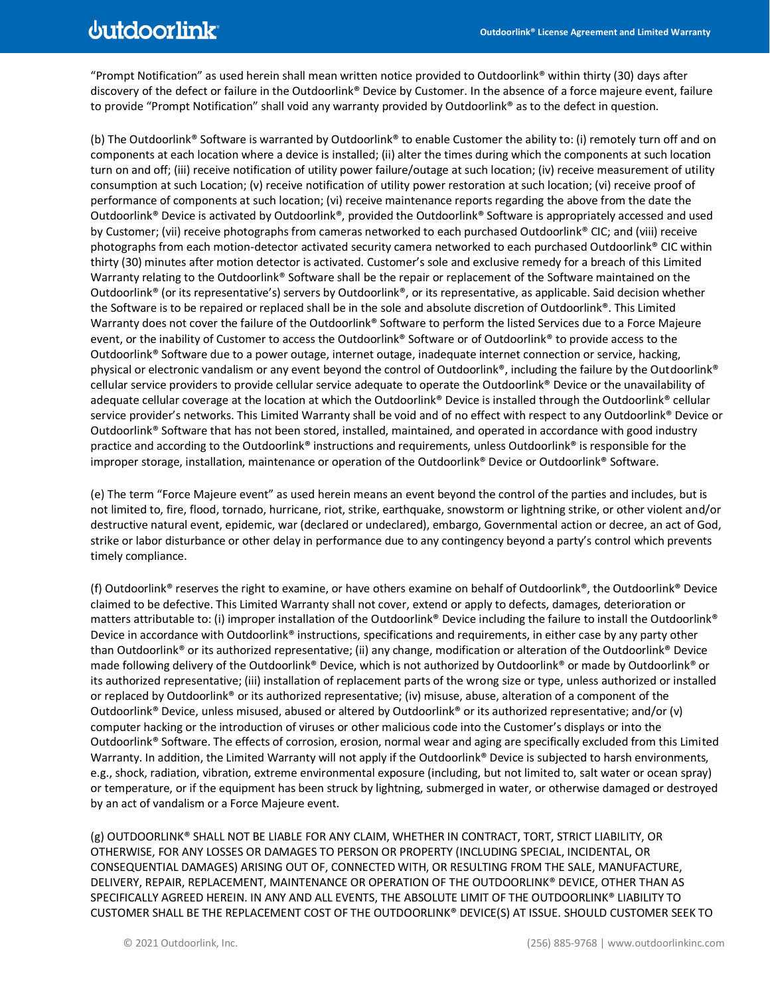"Prompt Notification" as used herein shall mean written notice provided to Outdoorlink® within thirty (30) days after discovery of the defect or failure in the Outdoorlink® Device by Customer. In the absence of a force majeure event, failure to provide "Prompt Notification" shall void any warranty provided by Outdoorlink® as to the defect in question.

(b) The Outdoorlink® Software is warranted by Outdoorlink® to enable Customer the ability to: (i) remotely turn off and on components at each location where a device is installed; (ii) alter the times during which the components at such location turn on and off; (iii) receive notification of utility power failure/outage at such location; (iv) receive measurement of utility consumption at such Location; (v) receive notification of utility power restoration at such location; (vi) receive proof of performance of components at such location; (vi) receive maintenance reports regarding the above from the date the Outdoorlink® Device is activated by Outdoorlink®, provided the Outdoorlink® Software is appropriately accessed and used by Customer; (vii) receive photographs from cameras networked to each purchased Outdoorlink® CIC; and (viii) receive photographs from each motion-detector activated security camera networked to each purchased Outdoorlink® CIC within thirty (30) minutes after motion detector is activated. Customer's sole and exclusive remedy for a breach of this Limited Warranty relating to the Outdoorlink® Software shall be the repair or replacement of the Software maintained on the Outdoorlink® (or its representative's) servers by Outdoorlink®, or its representative, as applicable. Said decision whether the Software is to be repaired or replaced shall be in the sole and absolute discretion of Outdoorlink®. This Limited Warranty does not cover the failure of the Outdoorlink® Software to perform the listed Services due to a Force Majeure event, or the inability of Customer to access the Outdoorlink® Software or of Outdoorlink® to provide access to the Outdoorlink® Software due to a power outage, internet outage, inadequate internet connection or service, hacking, physical or electronic vandalism or any event beyond the control of Outdoorlink®, including the failure by the Outdoorlink® cellular service providers to provide cellular service adequate to operate the Outdoorlink® Device or the unavailability of adequate cellular coverage at the location at which the Outdoorlink® Device is installed through the Outdoorlink® cellular service provider's networks. This Limited Warranty shall be void and of no effect with respect to any Outdoorlink® Device or Outdoorlink® Software that has not been stored, installed, maintained, and operated in accordance with good industry practice and according to the Outdoorlink® instructions and requirements, unless Outdoorlink® is responsible for the improper storage, installation, maintenance or operation of the Outdoorlink® Device or Outdoorlink® Software.

(e) The term "Force Majeure event" as used herein means an event beyond the control of the parties and includes, but is not limited to, fire, flood, tornado, hurricane, riot, strike, earthquake, snowstorm or lightning strike, or other violent and/or destructive natural event, epidemic, war (declared or undeclared), embargo, Governmental action or decree, an act of God, strike or labor disturbance or other delay in performance due to any contingency beyond a party's control which prevents timely compliance.

(f) Outdoorlink® reserves the right to examine, or have others examine on behalf of Outdoorlink®, the Outdoorlink® Device claimed to be defective. This Limited Warranty shall not cover, extend or apply to defects, damages, deterioration or matters attributable to: (i) improper installation of the Outdoorlink® Device including the failure to install the Outdoorlink® Device in accordance with Outdoorlink® instructions, specifications and requirements, in either case by any party other than Outdoorlink® or its authorized representative; (ii) any change, modification or alteration of the Outdoorlink® Device made following delivery of the Outdoorlink® Device, which is not authorized by Outdoorlink® or made by Outdoorlink® or its authorized representative; (iii) installation of replacement parts of the wrong size or type, unless authorized or installed or replaced by Outdoorlink® or its authorized representative; (iv) misuse, abuse, alteration of a component of the Outdoorlink® Device, unless misused, abused or altered by Outdoorlink® or its authorized representative; and/or (v) computer hacking or the introduction of viruses or other malicious code into the Customer's displays or into the Outdoorlink® Software. The effects of corrosion, erosion, normal wear and aging are specifically excluded from this Limited Warranty. In addition, the Limited Warranty will not apply if the Outdoorlink® Device is subjected to harsh environments, e.g., shock, radiation, vibration, extreme environmental exposure (including, but not limited to, salt water or ocean spray) or temperature, or if the equipment has been struck by lightning, submerged in water, or otherwise damaged or destroyed by an act of vandalism or a Force Majeure event.

(g) OUTDOORLINK® SHALL NOT BE LIABLE FOR ANY CLAIM, WHETHER IN CONTRACT, TORT, STRICT LIABILITY, OR OTHERWISE, FOR ANY LOSSES OR DAMAGES TO PERSON OR PROPERTY (INCLUDING SPECIAL, INCIDENTAL, OR CONSEQUENTIAL DAMAGES) ARISING OUT OF, CONNECTED WITH, OR RESULTING FROM THE SALE, MANUFACTURE, DELIVERY, REPAIR, REPLACEMENT, MAINTENANCE OR OPERATION OF THE OUTDOORLINK® DEVICE, OTHER THAN AS SPECIFICALLY AGREED HEREIN. IN ANY AND ALL EVENTS, THE ABSOLUTE LIMIT OF THE OUTDOORLINK® LIABILITY TO CUSTOMER SHALL BE THE REPLACEMENT COST OF THE OUTDOORLINK® DEVICE(S) AT ISSUE. SHOULD CUSTOMER SEEK TO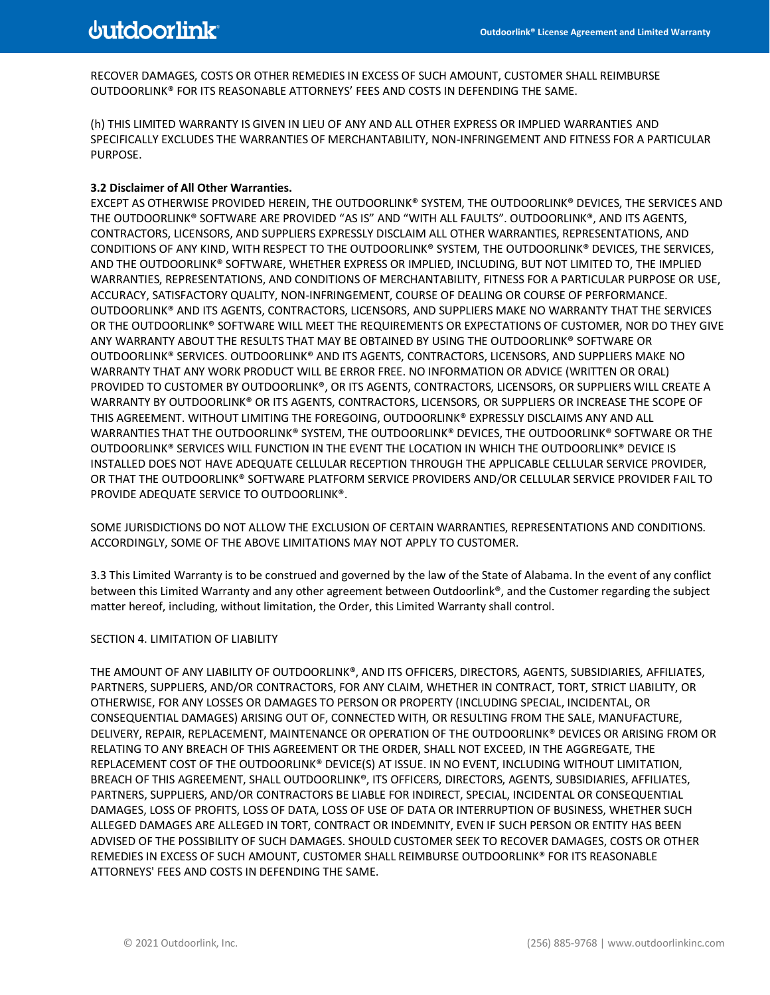RECOVER DAMAGES, COSTS OR OTHER REMEDIES IN EXCESS OF SUCH AMOUNT, CUSTOMER SHALL REIMBURSE OUTDOORLINK® FOR ITS REASONABLE ATTORNEYS' FEES AND COSTS IN DEFENDING THE SAME.

(h) THIS LIMITED WARRANTY IS GIVEN IN LIEU OF ANY AND ALL OTHER EXPRESS OR IMPLIED WARRANTIES AND SPECIFICALLY EXCLUDES THE WARRANTIES OF MERCHANTABILITY, NON-INFRINGEMENT AND FITNESS FOR A PARTICULAR PURPOSE.

### **3.2 Disclaimer of All Other Warranties.**

EXCEPT AS OTHERWISE PROVIDED HEREIN, THE OUTDOORLINK® SYSTEM, THE OUTDOORLINK® DEVICES, THE SERVICES AND THE OUTDOORLINK® SOFTWARE ARE PROVIDED "AS IS" AND "WITH ALL FAULTS". OUTDOORLINK®, AND ITS AGENTS, CONTRACTORS, LICENSORS, AND SUPPLIERS EXPRESSLY DISCLAIM ALL OTHER WARRANTIES, REPRESENTATIONS, AND CONDITIONS OF ANY KIND, WITH RESPECT TO THE OUTDOORLINK® SYSTEM, THE OUTDOORLINK® DEVICES, THE SERVICES, AND THE OUTDOORLINK® SOFTWARE, WHETHER EXPRESS OR IMPLIED, INCLUDING, BUT NOT LIMITED TO, THE IMPLIED WARRANTIES, REPRESENTATIONS, AND CONDITIONS OF MERCHANTABILITY, FITNESS FOR A PARTICULAR PURPOSE OR USE, ACCURACY, SATISFACTORY QUALITY, NON-INFRINGEMENT, COURSE OF DEALING OR COURSE OF PERFORMANCE. OUTDOORLINK® AND ITS AGENTS, CONTRACTORS, LICENSORS, AND SUPPLIERS MAKE NO WARRANTY THAT THE SERVICES OR THE OUTDOORLINK® SOFTWARE WILL MEET THE REQUIREMENTS OR EXPECTATIONS OF CUSTOMER, NOR DO THEY GIVE ANY WARRANTY ABOUT THE RESULTS THAT MAY BE OBTAINED BY USING THE OUTDOORLINK® SOFTWARE OR OUTDOORLINK® SERVICES. OUTDOORLINK® AND ITS AGENTS, CONTRACTORS, LICENSORS, AND SUPPLIERS MAKE NO WARRANTY THAT ANY WORK PRODUCT WILL BE ERROR FREE. NO INFORMATION OR ADVICE (WRITTEN OR ORAL) PROVIDED TO CUSTOMER BY OUTDOORLINK®, OR ITS AGENTS, CONTRACTORS, LICENSORS, OR SUPPLIERS WILL CREATE A WARRANTY BY OUTDOORLINK® OR ITS AGENTS, CONTRACTORS, LICENSORS, OR SUPPLIERS OR INCREASE THE SCOPE OF THIS AGREEMENT. WITHOUT LIMITING THE FOREGOING, OUTDOORLINK® EXPRESSLY DISCLAIMS ANY AND ALL WARRANTIES THAT THE OUTDOORLINK® SYSTEM, THE OUTDOORLINK® DEVICES, THE OUTDOORLINK® SOFTWARE OR THE OUTDOORLINK® SERVICES WILL FUNCTION IN THE EVENT THE LOCATION IN WHICH THE OUTDOORLINK® DEVICE IS INSTALLED DOES NOT HAVE ADEQUATE CELLULAR RECEPTION THROUGH THE APPLICABLE CELLULAR SERVICE PROVIDER, OR THAT THE OUTDOORLINK® SOFTWARE PLATFORM SERVICE PROVIDERS AND/OR CELLULAR SERVICE PROVIDER FAIL TO PROVIDE ADEQUATE SERVICE TO OUTDOORLINK®.

SOME JURISDICTIONS DO NOT ALLOW THE EXCLUSION OF CERTAIN WARRANTIES, REPRESENTATIONS AND CONDITIONS. ACCORDINGLY, SOME OF THE ABOVE LIMITATIONS MAY NOT APPLY TO CUSTOMER.

3.3 This Limited Warranty is to be construed and governed by the law of the State of Alabama. In the event of any conflict between this Limited Warranty and any other agreement between Outdoorlink®, and the Customer regarding the subject matter hereof, including, without limitation, the Order, this Limited Warranty shall control.

#### SECTION 4. LIMITATION OF LIABILITY

THE AMOUNT OF ANY LIABILITY OF OUTDOORLINK®, AND ITS OFFICERS, DIRECTORS, AGENTS, SUBSIDIARIES, AFFILIATES, PARTNERS, SUPPLIERS, AND/OR CONTRACTORS, FOR ANY CLAIM, WHETHER IN CONTRACT, TORT, STRICT LIABILITY, OR OTHERWISE, FOR ANY LOSSES OR DAMAGES TO PERSON OR PROPERTY (INCLUDING SPECIAL, INCIDENTAL, OR CONSEQUENTIAL DAMAGES) ARISING OUT OF, CONNECTED WITH, OR RESULTING FROM THE SALE, MANUFACTURE, DELIVERY, REPAIR, REPLACEMENT, MAINTENANCE OR OPERATION OF THE OUTDOORLINK® DEVICES OR ARISING FROM OR RELATING TO ANY BREACH OF THIS AGREEMENT OR THE ORDER, SHALL NOT EXCEED, IN THE AGGREGATE, THE REPLACEMENT COST OF THE OUTDOORLINK® DEVICE(S) AT ISSUE. IN NO EVENT, INCLUDING WITHOUT LIMITATION, BREACH OF THIS AGREEMENT, SHALL OUTDOORLINK®, ITS OFFICERS, DIRECTORS, AGENTS, SUBSIDIARIES, AFFILIATES, PARTNERS, SUPPLIERS, AND/OR CONTRACTORS BE LIABLE FOR INDIRECT, SPECIAL, INCIDENTAL OR CONSEQUENTIAL DAMAGES, LOSS OF PROFITS, LOSS OF DATA, LOSS OF USE OF DATA OR INTERRUPTION OF BUSINESS, WHETHER SUCH ALLEGED DAMAGES ARE ALLEGED IN TORT, CONTRACT OR INDEMNITY, EVEN IF SUCH PERSON OR ENTITY HAS BEEN ADVISED OF THE POSSIBILITY OF SUCH DAMAGES. SHOULD CUSTOMER SEEK TO RECOVER DAMAGES, COSTS OR OTHER REMEDIES IN EXCESS OF SUCH AMOUNT, CUSTOMER SHALL REIMBURSE OUTDOORLINK® FOR ITS REASONABLE ATTORNEYS' FEES AND COSTS IN DEFENDING THE SAME.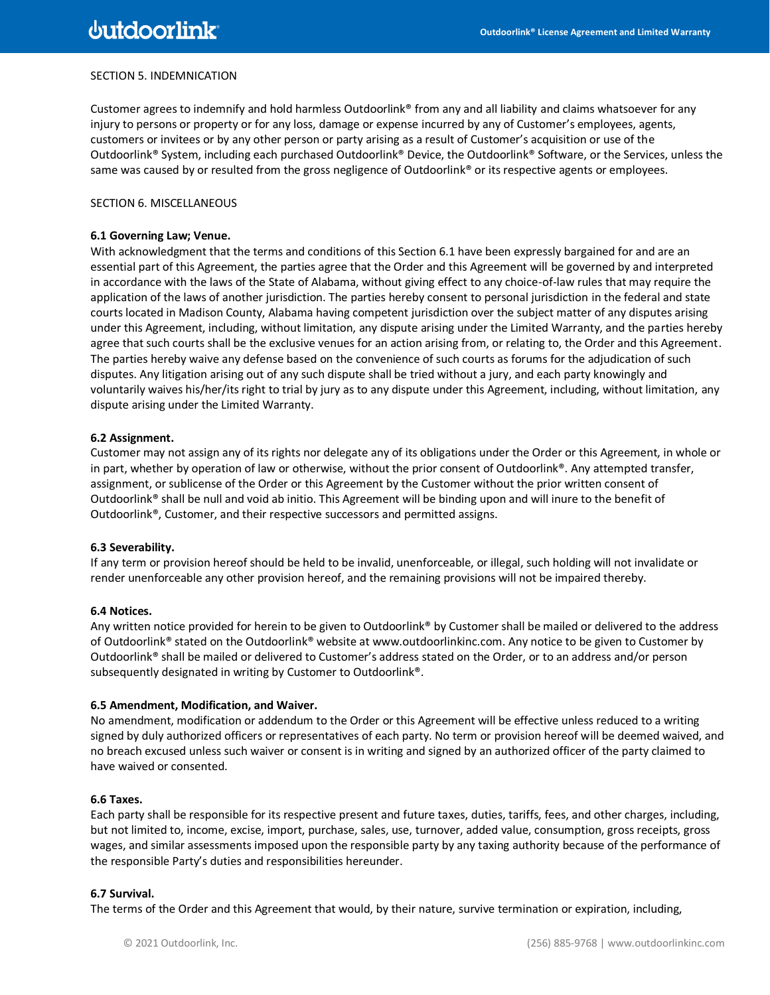## SECTION 5. INDEMNICATION

Customer agrees to indemnify and hold harmless Outdoorlink® from any and all liability and claims whatsoever for any injury to persons or property or for any loss, damage or expense incurred by any of Customer's employees, agents, customers or invitees or by any other person or party arising as a result of Customer's acquisition or use of the Outdoorlink® System, including each purchased Outdoorlink® Device, the Outdoorlink® Software, or the Services, unless the same was caused by or resulted from the gross negligence of Outdoorlink® or its respective agents or employees.

## SECTION 6. MISCELLANEOUS

#### **6.1 Governing Law; Venue.**

With acknowledgment that the terms and conditions of this Section 6.1 have been expressly bargained for and are an essential part of this Agreement, the parties agree that the Order and this Agreement will be governed by and interpreted in accordance with the laws of the State of Alabama, without giving effect to any choice-of-law rules that may require the application of the laws of another jurisdiction. The parties hereby consent to personal jurisdiction in the federal and state courts located in Madison County, Alabama having competent jurisdiction over the subject matter of any disputes arising under this Agreement, including, without limitation, any dispute arising under the Limited Warranty, and the parties hereby agree that such courts shall be the exclusive venues for an action arising from, or relating to, the Order and this Agreement. The parties hereby waive any defense based on the convenience of such courts as forums for the adjudication of such disputes. Any litigation arising out of any such dispute shall be tried without a jury, and each party knowingly and voluntarily waives his/her/its right to trial by jury as to any dispute under this Agreement, including, without limitation, any dispute arising under the Limited Warranty.

### **6.2 Assignment.**

Customer may not assign any of its rights nor delegate any of its obligations under the Order or this Agreement, in whole or in part, whether by operation of law or otherwise, without the prior consent of Outdoorlink®. Any attempted transfer, assignment, or sublicense of the Order or this Agreement by the Customer without the prior written consent of Outdoorlink® shall be null and void ab initio. This Agreement will be binding upon and will inure to the benefit of Outdoorlink®, Customer, and their respective successors and permitted assigns.

#### **6.3 Severability.**

If any term or provision hereof should be held to be invalid, unenforceable, or illegal, such holding will not invalidate or render unenforceable any other provision hereof, and the remaining provisions will not be impaired thereby.

#### **6.4 Notices.**

Any written notice provided for herein to be given to Outdoorlink® by Customer shall be mailed or delivered to the address of Outdoorlink® stated on the Outdoorlink® website at www.outdoorlinkinc.com. Any notice to be given to Customer by Outdoorlink® shall be mailed or delivered to Customer's address stated on the Order, or to an address and/or person subsequently designated in writing by Customer to Outdoorlink®.

#### **6.5 Amendment, Modification, and Waiver.**

No amendment, modification or addendum to the Order or this Agreement will be effective unless reduced to a writing signed by duly authorized officers or representatives of each party. No term or provision hereof will be deemed waived, and no breach excused unless such waiver or consent is in writing and signed by an authorized officer of the party claimed to have waived or consented.

#### **6.6 Taxes.**

Each party shall be responsible for its respective present and future taxes, duties, tariffs, fees, and other charges, including, but not limited to, income, excise, import, purchase, sales, use, turnover, added value, consumption, gross receipts, gross wages, and similar assessments imposed upon the responsible party by any taxing authority because of the performance of the responsible Party's duties and responsibilities hereunder.

## **6.7 Survival.**

The terms of the Order and this Agreement that would, by their nature, survive termination or expiration, including,